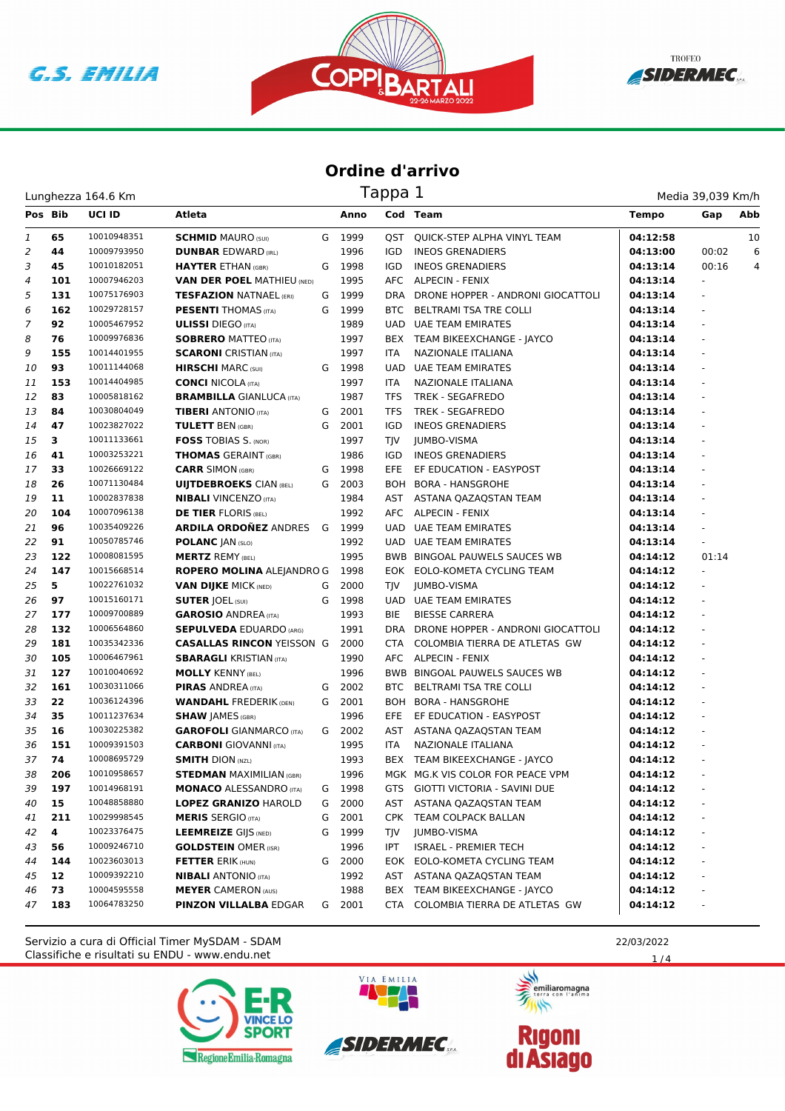





| Lunghezza 164.6 Km | Tappa 1 | Media 39,039 Km/h |
|--------------------|---------|-------------------|
|                    |         |                   |

| Pos Bib |     | <b>UCI ID</b> | Atleta                            |   | Anno   |            | Cod Team                              | <b>Tempo</b> | Gap           | Abb |
|---------|-----|---------------|-----------------------------------|---|--------|------------|---------------------------------------|--------------|---------------|-----|
| 1       | 65  | 10010948351   | <b>SCHMID MAURO (SUI)</b>         |   | G 1999 |            | QST QUICK-STEP ALPHA VINYL TEAM       | 04:12:58     |               | 10  |
| 2       | 44  | 10009793950   | <b>DUNBAR EDWARD (IRL)</b>        |   | 1996   | IGD        | <b>INEOS GRENADIERS</b>               | 04:13:00     | 00:02         | 6   |
| 3       | 45  | 10010182051   | <b>HAYTER ETHAN (GBR)</b>         | G | 1998   | <b>IGD</b> | <b>INEOS GRENADIERS</b>               | 04:13:14     | 00:16         | 4   |
| 4       | 101 | 10007946203   | <b>VAN DER POEL MATHIEU (NED)</b> |   | 1995   |            | AFC ALPECIN - FENIX                   | 04:13:14     |               |     |
| 5       | 131 | 10075176903   | <b>TESFAZION NATNAEL (ERI)</b>    |   | G 1999 |            | DRA DRONE HOPPER - ANDRONI GIOCATTOLI | 04:13:14     | ÷,            |     |
| 6       | 162 | 10029728157   | <b>PESENTI</b> THOMAS (ITA)       | G | 1999   | BTC        | BELTRAMI TSA TRE COLLI                | 04:13:14     | ÷.            |     |
| 7       | 92  | 10005467952   | <b>ULISSI</b> DIEGO (ITA)         |   | 1989   |            | UAD UAE TEAM EMIRATES                 | 04:13:14     |               |     |
| 8       | 76  | 10009976836   | <b>SOBRERO MATTEO (ITA)</b>       |   | 1997   |            | BEX TEAM BIKEEXCHANGE - JAYCO         | 04:13:14     |               |     |
| 9       | 155 | 10014401955   | <b>SCARONI</b> CRISTIAN (ITA)     |   | 1997   | <b>ITA</b> | NAZIONALE ITALIANA                    | 04:13:14     | L.            |     |
| 10      | 93  | 10011144068   | <b>HIRSCHI MARC (SUI)</b>         | G | 1998   | <b>UAD</b> | <b>UAE TEAM EMIRATES</b>              | 04:13:14     |               |     |
| 11      | 153 | 10014404985   | <b>CONCI NICOLA (ITA)</b>         |   | 1997   | ITA        | NAZIONALE ITALIANA                    | 04:13:14     | $\frac{1}{2}$ |     |
| 12      | 83  | 10005818162   | <b>BRAMBILLA GIANLUCA (ITA)</b>   |   | 1987   | <b>TFS</b> | <b>TREK - SEGAFREDO</b>               | 04:13:14     | ÷,            |     |
| 13      | 84  | 10030804049   | <b>TIBERI</b> ANTONIO (ITA)       | G | 2001   | TFS        | TREK - SEGAFREDO                      | 04:13:14     |               |     |
| 14      | 47  | 10023827022   | <b>TULETT BEN (GBR)</b>           | G | 2001   | IGD        | <b>INEOS GRENADIERS</b>               | 04:13:14     | ÷.            |     |
| 15      | 3   | 10011133661   | <b>FOSS TOBIAS S. (NOR)</b>       |   | 1997   | TJV        | <b>JUMBO-VISMA</b>                    | 04:13:14     | ÷.            |     |
| 16      | 41  | 10003253221   | <b>THOMAS</b> GERAINT (GBR)       |   | 1986   | <b>IGD</b> | <b>INEOS GRENADIERS</b>               | 04:13:14     | ä,            |     |
| 17      | 33  | 10026669122   | <b>CARR SIMON (GBR)</b>           |   | G 1998 | EFE        | EF EDUCATION - EASYPOST               | 04:13:14     | ÷.            |     |
| 18      | 26  | 10071130484   | <b>UIJTDEBROEKS CIAN (BEL)</b>    |   | G 2003 | BOH        | <b>BORA - HANSGROHE</b>               | 04:13:14     | ÷.            |     |
| 19      | 11  | 10002837838   | <b>NIBALI</b> VINCENZO (ITA)      |   | 1984   |            | AST ASTANA QAZAQSTAN TEAM             | 04:13:14     |               |     |
| 20      | 104 | 10007096138   | <b>DE TIER FLORIS (BEL)</b>       |   | 1992   |            | AFC ALPECIN - FENIX                   | 04:13:14     |               |     |
| 21      | 96  | 10035409226   | <b>ARDILA ORDOÑEZ ANDRES</b>      | G | 1999   |            | <b>UAD UAE TEAM EMIRATES</b>          | 04:13:14     | ÷.            |     |
| 22      | 91  | 10050785746   | <b>POLANC JAN (SLO)</b>           |   | 1992   |            | UAD UAE TEAM EMIRATES                 | 04:13:14     |               |     |
| 23      | 122 | 10008081595   | <b>MERTZ REMY (BEL)</b>           |   | 1995   |            | <b>BWB BINGOAL PAUWELS SAUCES WB</b>  | 04:14:12     | 01:14         |     |
| 24      | 147 | 10015668514   | <b>ROPERO MOLINA ALEJANDRO G</b>  |   | 1998   |            | EOK EOLO-KOMETA CYCLING TEAM          | 04:14:12     | ÷,            |     |
| 25      | 5   | 10022761032   | <b>VAN DIJKE MICK (NED)</b>       | G | 2000   | TJV        | <b>JUMBO-VISMA</b>                    | 04:14:12     |               |     |
| 26      | 97  | 10015160171   | <b>SUTER JOEL (SUI)</b>           | G | 1998   |            | UAD UAE TEAM EMIRATES                 | 04:14:12     | ÷.            |     |
| 27      | 177 | 10009700889   | <b>GAROSIO ANDREA (ITA)</b>       |   | 1993   | <b>BIE</b> | <b>BIESSE CARRERA</b>                 | 04:14:12     | L.            |     |
| 28      | 132 | 10006564860   | <b>SEPULVEDA EDUARDO (ARG)</b>    |   | 1991   | DRA        | DRONE HOPPER - ANDRONI GIOCATTOLI     | 04:14:12     | L.            |     |
| 29      | 181 | 10035342336   | <b>CASALLAS RINCON YEISSON G</b>  |   | 2000   | CTA        | COLOMBIA TIERRA DE ATLETAS GW         | 04:14:12     | $\bar{a}$     |     |
| 30      | 105 | 10006467961   | <b>SBARAGLI KRISTIAN (ITA)</b>    |   | 1990   |            | AFC ALPECIN - FENIX                   | 04:14:12     | ÷.            |     |
| 31      | 127 | 10010040692   | <b>MOLLY KENNY (BEL)</b>          |   | 1996   |            | BWB BINGOAL PAUWELS SAUCES WB         | 04:14:12     |               |     |
| 32      | 161 | 10030311066   | <b>PIRAS ANDREA</b> (ITA)         | G | 2002   |            | BTC BELTRAMI TSA TRE COLLI            | 04:14:12     |               |     |
| 33      | 22  | 10036124396   | <b>WANDAHL FREDERIK (DEN)</b>     |   | G 2001 | BOH        | <b>BORA - HANSGROHE</b>               | 04:14:12     | L.            |     |
| 34      | 35  | 10011237634   | <b>SHAW JAMES (GBR)</b>           |   | 1996   | EFE        | EF EDUCATION - EASYPOST               | 04:14:12     |               |     |
| 35      | 16  | 10030225382   | <b>GAROFOLI</b> GIANMARCO (ITA)   |   | G 2002 | AST        | ASTANA QAZAQSTAN TEAM                 | 04:14:12     | ÷,            |     |
| 36      | 151 | 10009391503   | <b>CARBONI</b> GIOVANNI (ITA)     |   | 1995   | <b>ITA</b> | NAZIONALE ITALIANA                    | 04:14:12     |               |     |
| 37      | 74  | 10008695729   | <b>SMITH DION (NZL)</b>           |   | 1993   |            | BEX TEAM BIKEEXCHANGE - JAYCO         | 04:14:12     |               |     |
| 38      | 206 | 10010958657   | <b>STEDMAN MAXIMILIAN (GBR)</b>   |   | 1996   |            | MGK MG.K VIS COLOR FOR PEACE VPM      | 04:14:12     |               |     |
| 39      | 197 | 10014968191   | <b>MONACO ALESSANDRO (ITA)</b>    | G | 1998   |            | GTS GIOTTI VICTORIA - SAVINI DUE      | 04:14:12     | ÷,            |     |
| 40      | 15  | 10048858880   | <b>LOPEZ GRANIZO HAROLD</b>       | G | 2000   |            | AST ASTANA QAZAQSTAN TEAM             | 04:14:12     |               |     |
| 41      | 211 | 10029998545   | <b>MERIS SERGIO (ITA)</b>         | G | 2001   | <b>CPK</b> | TEAM COLPACK BALLAN                   | 04:14:12     |               |     |
| 42      | 4   | 10023376475   | <b>LEEMREIZE GIJS (NED)</b>       | G | 1999   | TJV        | <b>JUMBO-VISMA</b>                    | 04:14:12     |               |     |
| 43      | 56  | 10009246710   | <b>GOLDSTEIN OMER (ISR)</b>       |   | 1996   | IPT        | <b>ISRAEL - PREMIER TECH</b>          | 04:14:12     |               |     |
| 44      | 144 | 10023603013   | <b>FETTER ERIK (HUN)</b>          |   | G 2000 |            | EOK EOLO-KOMETA CYCLING TEAM          | 04:14:12     |               |     |
| 45      | 12  | 10009392210   | <b>NIBALI</b> ANTONIO (ITA)       |   | 1992   | AST        | ASTANA QAZAQSTAN TEAM                 | 04:14:12     |               |     |
| 46      | 73  | 10004595558   | <b>MEYER CAMERON (AUS)</b>        |   | 1988   | BEX        | TEAM BIKEEXCHANGE - JAYCO             | 04:14:12     |               |     |
| 47      | 183 | 10064783250   | <b>PINZON VILLALBA EDGAR</b>      |   | G 2001 | CTA        | COLOMBIA TIERRA DE ATLETAS GW         | 04:14:12     |               |     |

Classifiche e risultati su ENDU - www.endu.net Servizio a cura di Official Timer MySDAM - SDAM 22/03/2022







 $1/4$ 

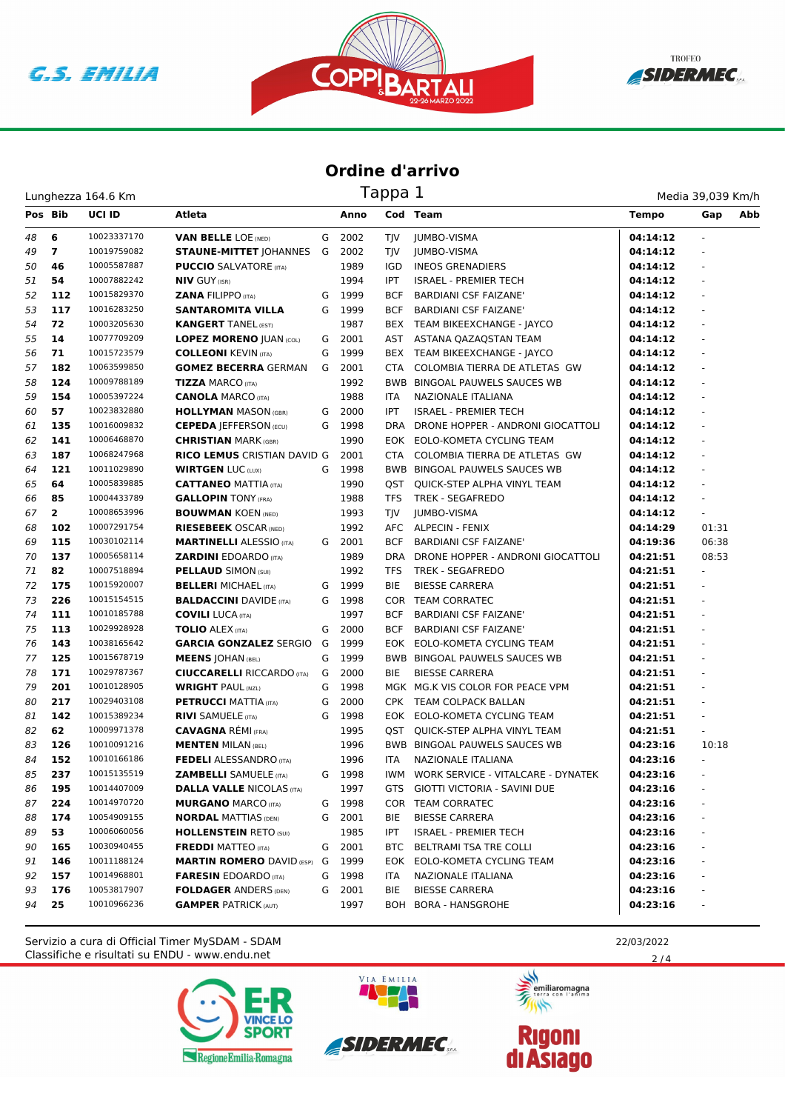





| Lunghezza 164.6 Km | Tappa <sub>+</sub> | Media 39,039 Km/h |
|--------------------|--------------------|-------------------|
|                    |                    |                   |

| Pos Bib |                | UCI ID      | Atleta                             |   | Anno   |            | Cod Team                              | <b>Tempo</b> | Abb<br>Gap               |
|---------|----------------|-------------|------------------------------------|---|--------|------------|---------------------------------------|--------------|--------------------------|
| 48      | 6              | 10023337170 | <b>VAN BELLE LOE (NED)</b>         | G | 2002   | TIV        | <b>JUMBO-VISMA</b>                    | 04:14:12     | ÷.                       |
| 49      | $\overline{7}$ | 10019759082 | <b>STAUNE-MITTET JOHANNES</b>      | G | 2002   | TJV        | <b>JUMBO-VISMA</b>                    | 04:14:12     | ÷.                       |
| 50      | 46             | 10005587887 | <b>PUCCIO</b> SALVATORE (ITA)      |   | 1989   | IGD        | <b>INEOS GRENADIERS</b>               | 04:14:12     |                          |
| 51      | 54             | 10007882242 | <b>NIV GUY (ISR)</b>               |   | 1994   | <b>IPT</b> | <b>ISRAEL - PREMIER TECH</b>          | 04:14:12     | ÷,                       |
| 52      | 112            | 10015829370 | <b>ZANA FILIPPO (ITA)</b>          | G | 1999   | <b>BCF</b> | <b>BARDIANI CSF FAIZANE'</b>          | 04:14:12     | ÷,                       |
| 53      | 117            | 10016283250 | <b>SANTAROMITA VILLA</b>           |   | G 1999 | <b>BCF</b> | <b>BARDIANI CSF FAIZANE'</b>          | 04:14:12     |                          |
| 54      | 72             | 10003205630 | <b>KANGERT TANEL (EST)</b>         |   | 1987   |            | BEX TEAM BIKEEXCHANGE - JAYCO         | 04:14:12     |                          |
| 55      | 14             | 10077709209 | <b>LOPEZ MORENO JUAN (COL)</b>     | G | 2001   | AST        | ASTANA QAZAQSTAN TEAM                 | 04:14:12     |                          |
| 56      | 71             | 10015723579 | <b>COLLEONI KEVIN (ITA)</b>        | G | 1999   |            | BEX TEAM BIKEEXCHANGE - JAYCO         | 04:14:12     | ä,                       |
| 57      | 182            | 10063599850 | <b>GOMEZ BECERRA GERMAN</b>        | G | 2001   | <b>CTA</b> | COLOMBIA TIERRA DE ATLETAS GW         | 04:14:12     | ÷.                       |
| 58      | 124            | 10009788189 | <b>TIZZA MARCO (ITA)</b>           |   | 1992   |            | BWB BINGOAL PAUWELS SAUCES WB         | 04:14:12     |                          |
| 59      | 154            | 10005397224 | <b>CANOLA MARCO (ITA)</b>          |   | 1988   | ITA        | <b>NAZIONALE ITALIANA</b>             | 04:14:12     |                          |
| 60      | 57             | 10023832880 | <b>HOLLYMAN MASON (GBR)</b>        | G | 2000   | <b>IPT</b> | <b>ISRAEL - PREMIER TECH</b>          | 04:14:12     |                          |
| 61      | 135            | 10016009832 | <b>CEPEDA JEFFERSON (ECU)</b>      | G | 1998   |            | DRA DRONE HOPPER - ANDRONI GIOCATTOLI | 04:14:12     | ÷.                       |
| 62      | 141            | 10006468870 | <b>CHRISTIAN MARK (GBR)</b>        |   | 1990   |            | EOK EOLO-KOMETA CYCLING TEAM          | 04:14:12     | ÷.                       |
| 63      | 187            | 10068247968 | <b>RICO LEMUS CRISTIAN DAVID G</b> |   | 2001   | <b>CTA</b> | COLOMBIA TIERRA DE ATLETAS GW         | 04:14:12     | $\omega$                 |
| 64      | 121            | 10011029890 | <b>WIRTGEN LUC (LUX)</b>           | G | 1998   |            | <b>BWB BINGOAL PAUWELS SAUCES WB</b>  | 04:14:12     |                          |
| 65      | 64             | 10005839885 | <b>CATTANEO MATTIA (ITA)</b>       |   | 1990   |            | OST QUICK-STEP ALPHA VINYL TEAM       | 04:14:12     |                          |
| 66      | 85             | 10004433789 | <b>GALLOPIN TONY (FRA)</b>         |   | 1988   | <b>TFS</b> | TREK - SEGAFREDO                      | 04:14:12     |                          |
| 67      | $\mathbf{2}$   | 10008653996 | <b>BOUWMAN KOEN (NED)</b>          |   | 1993   | TIV        | <b>JUMBO-VISMA</b>                    | 04:14:12     | ÷                        |
| 68      | 102            | 10007291754 | <b>RIESEBEEK OSCAR (NED)</b>       |   | 1992   |            | AFC ALPECIN - FENIX                   | 04:14:29     | 01:31                    |
| 69      | 115            | 10030102114 | <b>MARTINELLI ALESSIO (ITA)</b>    |   | G 2001 | <b>BCF</b> | <b>BARDIANI CSF FAIZANE'</b>          | 04:19:36     | 06:38                    |
| 70      | 137            | 10005658114 | <b>ZARDINI EDOARDO</b> (ITA)       |   | 1989   |            | DRA DRONE HOPPER - ANDRONI GIOCATTOLI | 04:21:51     | 08:53                    |
| 71      | 82             | 10007518894 | <b>PELLAUD SIMON (SUI)</b>         |   | 1992   | TFS        | TREK - SEGAFREDO                      | 04:21:51     | $\blacksquare$           |
| 72      | 175            | 10015920007 | <b>BELLERI MICHAEL (ITA)</b>       | G | 1999   | <b>BIE</b> | <b>BIESSE CARRERA</b>                 | 04:21:51     | ÷.                       |
| 73      | 226            | 10015154515 | <b>BALDACCINI DAVIDE (ITA)</b>     | G | 1998   |            | COR TEAM CORRATEC                     | 04:21:51     | $\omega$                 |
| 74      | 111            | 10010185788 | <b>COVILI LUCA (ITA)</b>           |   | 1997   | <b>BCF</b> | <b>BARDIANI CSF FAIZANE'</b>          | 04:21:51     | $\omega$                 |
| 75      | 113            | 10029928928 | <b>TOLIO</b> ALEX (ITA)            | G | 2000   | <b>BCF</b> | <b>BARDIANI CSF FAIZANE'</b>          | 04:21:51     | ÷,                       |
| 76      | 143            | 10038165642 | <b>GARCIA GONZALEZ SERGIO</b>      | G | 1999   |            | EOK EOLO-KOMETA CYCLING TEAM          | 04:21:51     | ä,                       |
| 77      | 125            | 10015678719 | <b>MEENS JOHAN (BEL)</b>           | G | 1999   |            | <b>BWB BINGOAL PAUWELS SAUCES WB</b>  | 04:21:51     |                          |
| 78      | 171            | 10029787367 | <b>CIUCCARELLI RICCARDO (ITA)</b>  | G | 2000   | <b>BIE</b> | <b>BIESSE CARRERA</b>                 | 04:21:51     |                          |
| 79      | 201            | 10010128905 | <b>WRIGHT PAUL (NZL)</b>           | G | 1998   |            | MGK MG.K VIS COLOR FOR PEACE VPM      | 04:21:51     |                          |
| 80      | 217            | 10029403108 | <b>PETRUCCI MATTIA (ITA)</b>       | G | 2000   |            | CPK TEAM COLPACK BALLAN               | 04:21:51     | $\omega$                 |
| 81      | 142            | 10015389234 | <b>RIVI SAMUELE (ITA)</b>          | G | 1998   |            | EOK EOLO-KOMETA CYCLING TEAM          | 04:21:51     | $\omega$                 |
| 82      | 62             | 10009971378 | <b>CAVAGNA RÉMI (FRA)</b>          |   | 1995   |            | QST QUICK-STEP ALPHA VINYL TEAM       | 04:21:51     |                          |
| 83      | 126            | 10010091216 | <b>MENTEN MILAN (BEL)</b>          |   | 1996   |            | BWB BINGOAL PAUWELS SAUCES WB         | 04:23:16     | 10:18                    |
| 84      | 152            | 10010166186 | <b>FEDELI ALESSANDRO</b> (ITA)     |   | 1996   | ITA        | NAZIONALE ITALIANA                    | 04:23:16     | ÷.                       |
| 85      | 237            | 10015135519 | <b>ZAMBELLI</b> SAMUELE (ITA)      |   | G 1998 | IWM.       | WORK SERVICE - VITALCARE - DYNATEK    | 04:23:16     | ä,                       |
| 86      | 195            | 10014407009 | <b>DALLA VALLE NICOLAS (ITA)</b>   |   | 1997   | GTS        | GIOTTI VICTORIA - SAVINI DUE          | 04:23:16     | $\overline{\phantom{a}}$ |
| 87      | 224            | 10014970720 | <b>MURGANO MARCO (ITA)</b>         | G | 1998   |            | COR TEAM CORRATEC                     | 04:23:16     |                          |
| 88      | 174            | 10054909155 | <b>NORDAL MATTIAS (DEN)</b>        | G | 2001   | BIE        | <b>BIESSE CARRERA</b>                 | 04:23:16     |                          |
| 89      | 53             | 10006060056 | <b>HOLLENSTEIN RETO (SUI)</b>      |   | 1985   | IPT        | <b>ISRAEL - PREMIER TECH</b>          | 04:23:16     |                          |
| 90      | 165            | 10030940455 | <b>FREDDI MATTEO</b> (ITA)         | G | 2001   |            | BTC BELTRAMI TSA TRE COLLI            | 04:23:16     |                          |
| 91      | 146            | 10011188124 | <b>MARTIN ROMERO DAVID (ESP)</b>   | G | 1999   |            | EOK EOLO-KOMETA CYCLING TEAM          | 04:23:16     |                          |
| 92      | 157            | 10014968801 | <b>FARESIN</b> EDOARDO (ITA)       | G | 1998   | ITA        | NAZIONALE ITALIANA                    | 04:23:16     |                          |
| 93      | 176            | 10053817907 | <b>FOLDAGER ANDERS (DEN)</b>       | G | 2001   | BIE        | <b>BIESSE CARRERA</b>                 | 04:23:16     |                          |
| 94      | 25             | 10010966236 | <b>GAMPER PATRICK (AUT)</b>        |   | 1997   |            | BOH BORA - HANSGROHE                  | 04:23:16     |                          |

Classifiche e risultati su ENDU - www.endu.net Servizio a cura di Official Timer MySDAM - SDAM 22/03/2022







 $2/4$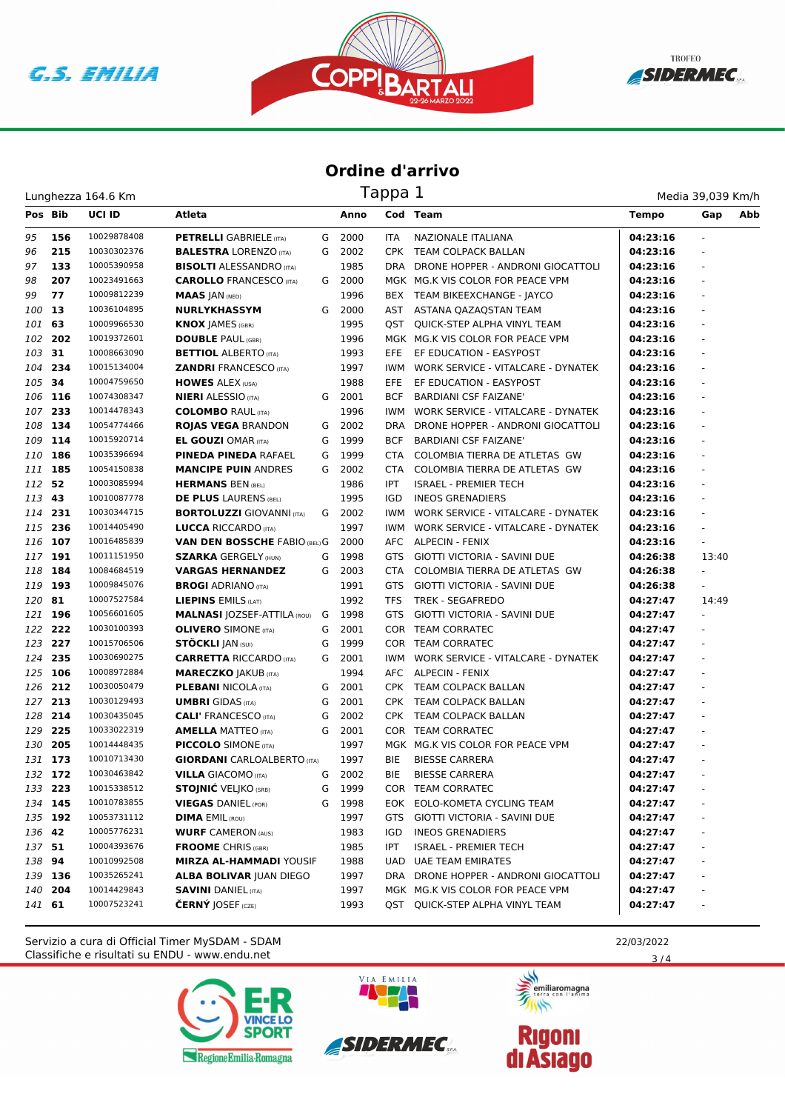





Lunghezza 164.6 Km

| Media 39,039 Km/h |  |
|-------------------|--|
|                   |  |

| Pos Bib |         | <b>UCI ID</b> | Atleta                               |   | Anno |            | Cod Team                              | <b>Tempo</b> | Gap    | Abb |
|---------|---------|---------------|--------------------------------------|---|------|------------|---------------------------------------|--------------|--------|-----|
| 95      | 156     | 10029878408   | <b>PETRELLI</b> GABRIELE (ITA)       | G | 2000 | <b>ITA</b> | NAZIONALE ITALIANA                    | 04:23:16     |        |     |
| 96      | 215     | 10030302376   | <b>BALESTRA LORENZO (ITA)</b>        | G | 2002 | <b>CPK</b> | TEAM COLPACK BALLAN                   | 04:23:16     |        |     |
| 97      | 133     | 10005390958   | <b>BISOLTI ALESSANDRO</b> (ITA)      |   | 1985 |            | DRA DRONE HOPPER - ANDRONI GIOCATTOLI | 04:23:16     |        |     |
| 98      | 207     | 10023491663   | <b>CAROLLO</b> FRANCESCO (ITA)       | G | 2000 |            | MGK MG.K VIS COLOR FOR PEACE VPM      | 04:23:16     |        |     |
| 99      | 77      | 10009812239   | <b>MAAS JAN (NED)</b>                |   | 1996 |            | BEX TEAM BIKEEXCHANGE - JAYCO         | 04:23:16     |        |     |
| 100     | 13      | 10036104895   | <b>NURLYKHASSYM</b>                  | G | 2000 | AST        | ASTANA QAZAQSTAN TEAM                 | 04:23:16     |        |     |
| 101     | 63      | 10009966530   | <b>KNOX JAMES (GBR)</b>              |   | 1995 | QST        | QUICK-STEP ALPHA VINYL TEAM           | 04:23:16     |        |     |
| 102     | 202     | 10019372601   | <b>DOUBLE PAUL (GBR)</b>             |   | 1996 |            | MGK MG.K VIS COLOR FOR PEACE VPM      | 04:23:16     |        |     |
| 103 31  |         | 10008663090   | <b>BETTIOL ALBERTO (ITA)</b>         |   | 1993 | EFE        | EF EDUCATION - EASYPOST               | 04:23:16     |        |     |
| 104     | 234     | 10015134004   | <b>ZANDRI FRANCESCO (ITA)</b>        |   | 1997 | IWM        | WORK SERVICE - VITALCARE - DYNATEK    | 04:23:16     |        |     |
| 105 34  |         | 10004759650   | <b>HOWES ALEX (USA)</b>              |   | 1988 | EFE        | EF EDUCATION - EASYPOST               | 04:23:16     |        |     |
| 106 116 |         | 10074308347   | <b>NIERI</b> ALESSIO (ITA)           | G | 2001 | BCF        | <b>BARDIANI CSF FAIZANE'</b>          | 04:23:16     |        |     |
| 107     | 233     | 10014478343   | <b>COLOMBO RAUL (ITA)</b>            |   | 1996 | <b>IWM</b> | WORK SERVICE - VITALCARE - DYNATEK    | 04:23:16     |        |     |
| 108     | 134     | 10054774466   | <b>ROJAS VEGA BRANDON</b>            | G | 2002 | DRA        | DRONE HOPPER - ANDRONI GIOCATTOLI     | 04:23:16     |        |     |
| 109     | 114     | 10015920714   | <b>EL GOUZI OMAR (ITA)</b>           | G | 1999 | BCF        | <b>BARDIANI CSF FAIZANE'</b>          | 04:23:16     |        |     |
| 110     | 186     | 10035396694   | <b>PINEDA PINEDA RAFAEL</b>          | G | 1999 | CTA        | COLOMBIA TIERRA DE ATLETAS GW         | 04:23:16     |        |     |
| 111     | 185     | 10054150838   | <b>MANCIPE PUIN ANDRES</b>           | G | 2002 | CTA        | COLOMBIA TIERRA DE ATLETAS GW         | 04:23:16     |        |     |
| 112     | 52      | 10003085994   | <b>HERMANS BEN (BEL)</b>             |   | 1986 | <b>IPT</b> | <b>ISRAEL - PREMIER TECH</b>          | 04:23:16     |        |     |
| 113     | 43      | 10010087778   | <b>DE PLUS LAURENS (BEL)</b>         |   | 1995 | IGD        | <b>INEOS GRENADIERS</b>               | 04:23:16     |        |     |
|         | 114 231 | 10030344715   | <b>BORTOLUZZI GIOVANNI (ITA)</b>     | G | 2002 | IWM        | WORK SERVICE - VITALCARE - DYNATEK    | 04:23:16     |        |     |
| 115 236 |         | 10014405490   | <b>LUCCA RICCARDO</b> (ITA)          |   | 1997 | IWM.       | WORK SERVICE - VITALCARE - DYNATEK    | 04:23:16     |        |     |
| 116     | 107     | 10016485839   | <b>VAN DEN BOSSCHE FABIO (BEL) G</b> |   | 2000 | AFC        | ALPECIN - FENIX                       | 04:23:16     | ÷.     |     |
| 117     | 191     | 10011151950   | <b>SZARKA GERGELY (HUN)</b>          | G | 1998 | GTS        | GIOTTI VICTORIA - SAVINI DUE          | 04:26:38     | 13:40  |     |
| 118     | 184     | 10084684519   | <b>VARGAS HERNANDEZ</b>              | G | 2003 | <b>CTA</b> | COLOMBIA TIERRA DE ATLETAS GW         | 04:26:38     | $\sim$ |     |
| 119     | 193     | 10009845076   | <b>BROGI</b> ADRIANO (ITA)           |   | 1991 | GTS        | GIOTTI VICTORIA - SAVINI DUE          | 04:26:38     |        |     |
| 120 81  |         | 10007527584   | LIEPINS EMILS (LAT)                  |   | 1992 | TFS        | <b>TREK - SEGAFREDO</b>               | 04:27:47     | 14:49  |     |
| 121     | 196     | 10056601605   | <b>MALNASI JOZSEF-ATTILA (ROU)</b>   | G | 1998 | GTS        | GIOTTI VICTORIA - SAVINI DUE          | 04:27:47     | ÷.     |     |
|         | 122 222 | 10030100393   | <b>OLIVERO</b> SIMONE (ITA)          | G | 2001 |            | COR TEAM CORRATEC                     | 04:27:47     |        |     |
| 123     | 227     | 10015706506   | <b>STOCKLI JAN (SUI)</b>             | G | 1999 |            | COR TEAM CORRATEC                     | 04:27:47     |        |     |
| 124     | 235     | 10030690275   | <b>CARRETTA RICCARDO (ITA)</b>       | G | 2001 | IWM.       | WORK SERVICE - VITALCARE - DYNATEK    | 04:27:47     |        |     |
| 125     | 106     | 10008972884   | <b>MARECZKO JAKUB (ITA)</b>          |   | 1994 | AFC.       | ALPECIN - FENIX                       | 04:27:47     |        |     |
|         | 126 212 | 10030050479   | <b>PLEBANI NICOLA (ITA)</b>          | G | 2001 | <b>CPK</b> | TEAM COLPACK BALLAN                   | 04:27:47     |        |     |
| 127 213 |         | 10030129493   | <b>UMBRI</b> GIDAS (ITA)             | G | 2001 | <b>CPK</b> | TEAM COLPACK BALLAN                   | 04:27:47     |        |     |
|         | 128 214 | 10030435045   | <b>CALI' FRANCESCO</b> (ITA)         | G | 2002 | CPK.       | TEAM COLPACK BALLAN                   | 04:27:47     |        |     |
| 129 225 |         | 10033022319   | <b>AMELLA MATTEO (ITA)</b>           | G | 2001 |            | COR TEAM CORRATEC                     | 04:27:47     |        |     |
| 130     | 205     | 10014448435   | <b>PICCOLO</b> SIMONE (ITA)          |   | 1997 |            | MGK MG.K VIS COLOR FOR PEACE VPM      | 04:27:47     |        |     |
|         | 131 173 | 10010713430   | <b>GIORDANI</b> CARLOALBERTO (ITA)   |   | 1997 | BIE        | <b>BIESSE CARRERA</b>                 | 04:27:47     |        |     |
|         | 132 172 | 10030463842   | <b>VILLA GIACOMO (ITA)</b>           | G | 2002 | BIE        | <b>BIESSE CARRERA</b>                 | 04:27:47     |        |     |
| 133 223 |         | 10015338512   | <b>STOJNIĆ VELJKO (SRB)</b>          | G | 1999 |            | COR TEAM CORRATEC                     | 04:27:47     |        |     |
|         | 134 145 | 10010783855   | <b>VIEGAS DANIEL (POR)</b>           | G | 1998 |            | EOK EOLO-KOMETA CYCLING TEAM          | 04:27:47     |        |     |
|         | 135 192 | 10053731112   | <b>DIMA EMIL (ROU)</b>               |   | 1997 | GTS        | GIOTTI VICTORIA - SAVINI DUE          | 04:27:47     |        |     |
| 136 42  |         | 10005776231   | <b>WURF CAMERON (AUS)</b>            |   | 1983 | IGD.       | <b>INEOS GRENADIERS</b>               | 04:27:47     |        |     |
| 137 51  |         | 10004393676   | <b>FROOME</b> CHRIS (GBR)            |   | 1985 | IPT        | <b>ISRAEL - PREMIER TECH</b>          | 04:27:47     |        |     |
| 138 94  |         | 10010992508   | <b>MIRZA AL-HAMMADI YOUSIF</b>       |   | 1988 |            | UAD UAE TEAM EMIRATES                 | 04:27:47     |        |     |
|         | 139 136 | 10035265241   | <b>ALBA BOLIVAR JUAN DIEGO</b>       |   | 1997 |            | DRA DRONE HOPPER - ANDRONI GIOCATTOLI | 04:27:47     |        |     |
|         | 140 204 | 10014429843   | <b>SAVINI DANIEL (ITA)</b>           |   | 1997 |            | MGK MG.K VIS COLOR FOR PEACE VPM      | 04:27:47     |        |     |
| 141 61  |         | 10007523241   | <b>ČERNÝ JOSEF</b> (CZE)             |   | 1993 |            | QST QUICK-STEP ALPHA VINYL TEAM       | 04:27:47     |        |     |

Classifiche e risultati su ENDU - www.endu.net Servizio a cura di Official Timer MySDAM - SDAM 22/03/2022







 $3/4$